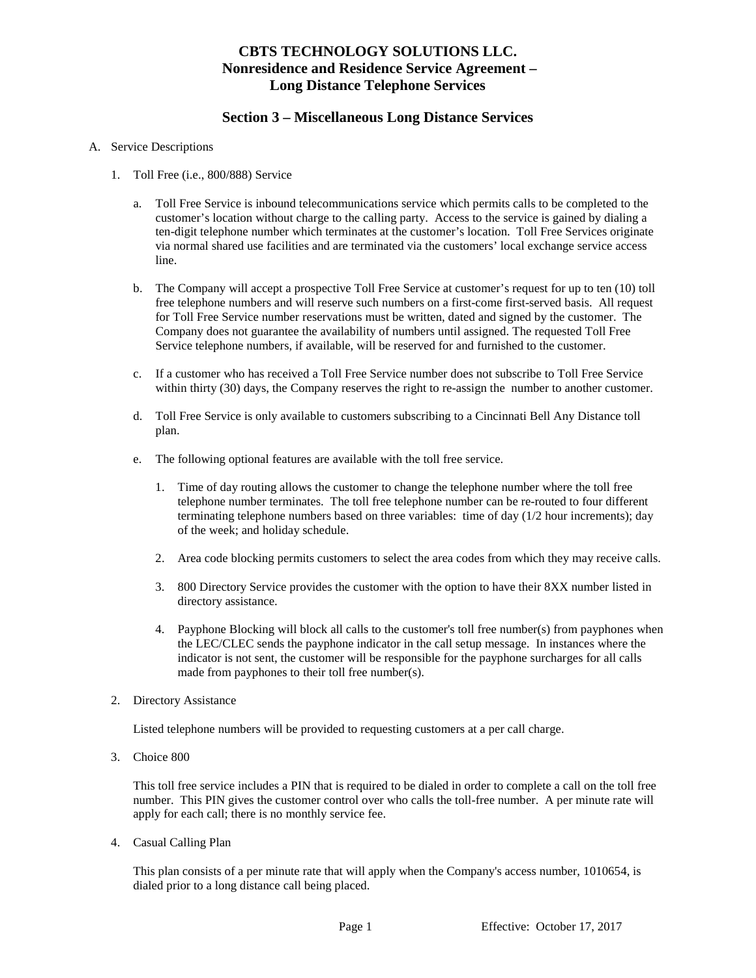## **CBTS TECHNOLOGY SOLUTIONS LLC. Nonresidence and Residence Service Agreement – Long Distance Telephone Services**

#### **Section 3 – Miscellaneous Long Distance Services**

#### A. Service Descriptions

- 1. Toll Free (i.e., 800/888) Service
	- a. Toll Free Service is inbound telecommunications service which permits calls to be completed to the customer's location without charge to the calling party. Access to the service is gained by dialing a ten-digit telephone number which terminates at the customer's location. Toll Free Services originate via normal shared use facilities and are terminated via the customers' local exchange service access line.
	- b. The Company will accept a prospective Toll Free Service at customer's request for up to ten (10) toll free telephone numbers and will reserve such numbers on a first-come first-served basis. All request for Toll Free Service number reservations must be written, dated and signed by the customer. The Company does not guarantee the availability of numbers until assigned. The requested Toll Free Service telephone numbers, if available, will be reserved for and furnished to the customer.
	- c. If a customer who has received a Toll Free Service number does not subscribe to Toll Free Service within thirty (30) days, the Company reserves the right to re-assign the number to another customer.
	- d. Toll Free Service is only available to customers subscribing to a Cincinnati Bell Any Distance toll plan.
	- e. The following optional features are available with the toll free service.
		- 1. Time of day routing allows the customer to change the telephone number where the toll free telephone number terminates. The toll free telephone number can be re-routed to four different terminating telephone numbers based on three variables: time of day (1/2 hour increments); day of the week; and holiday schedule.
		- 2. Area code blocking permits customers to select the area codes from which they may receive calls.
		- 3. 800 Directory Service provides the customer with the option to have their 8XX number listed in directory assistance.
		- 4. Payphone Blocking will block all calls to the customer's toll free number(s) from payphones when the LEC/CLEC sends the payphone indicator in the call setup message. In instances where the indicator is not sent, the customer will be responsible for the payphone surcharges for all calls made from payphones to their toll free number(s).
- 2. Directory Assistance

Listed telephone numbers will be provided to requesting customers at a per call charge.

3. Choice 800

This toll free service includes a PIN that is required to be dialed in order to complete a call on the toll free number. This PIN gives the customer control over who calls the toll-free number. A per minute rate will apply for each call; there is no monthly service fee.

4. Casual Calling Plan

This plan consists of a per minute rate that will apply when the Company's access number, 1010654, is dialed prior to a long distance call being placed.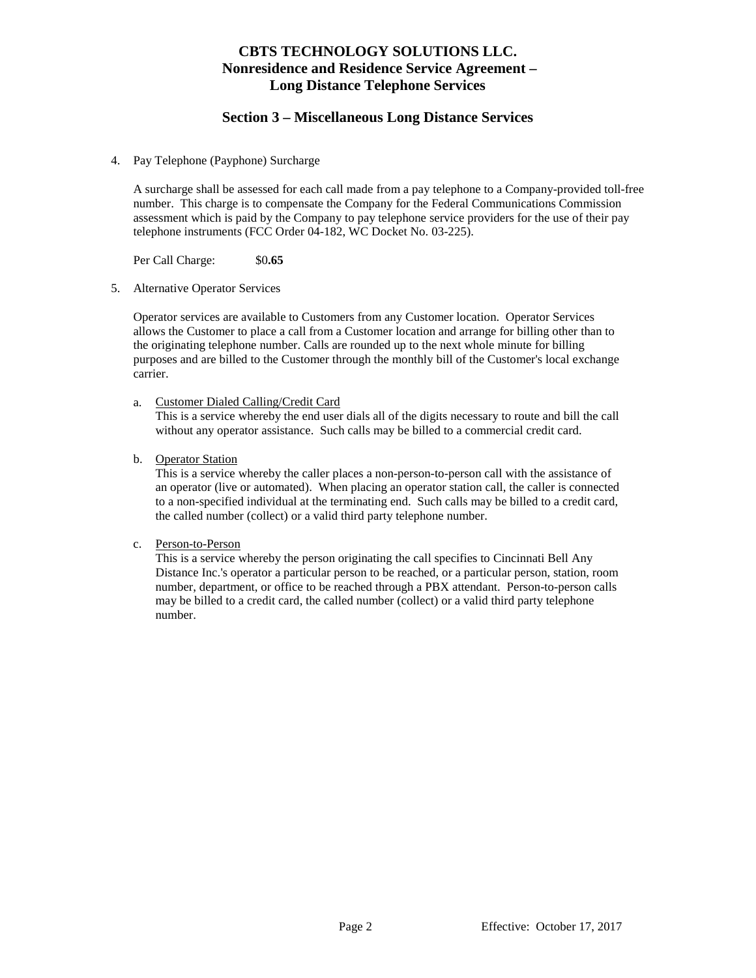## **CBTS TECHNOLOGY SOLUTIONS LLC. Nonresidence and Residence Service Agreement – Long Distance Telephone Services**

#### **Section 3 – Miscellaneous Long Distance Services**

4. Pay Telephone (Payphone) Surcharge

A surcharge shall be assessed for each call made from a pay telephone to a Company-provided toll-free number. This charge is to compensate the Company for the Federal Communications Commission assessment which is paid by the Company to pay telephone service providers for the use of their pay telephone instruments (FCC Order 04-182, WC Docket No. 03-225).

Per Call Charge: \$0**.65**

5. Alternative Operator Services

Operator services are available to Customers from any Customer location. Operator Services allows the Customer to place a call from a Customer location and arrange for billing other than to the originating telephone number. Calls are rounded up to the next whole minute for billing purposes and are billed to the Customer through the monthly bill of the Customer's local exchange carrier.

a. Customer Dialed Calling/Credit Card

This is a service whereby the end user dials all of the digits necessary to route and bill the call without any operator assistance. Such calls may be billed to a commercial credit card.

b. Operator Station

This is a service whereby the caller places a non-person-to-person call with the assistance of an operator (live or automated). When placing an operator station call, the caller is connected to a non-specified individual at the terminating end. Such calls may be billed to a credit card, the called number (collect) or a valid third party telephone number.

c. Person-to-Person

This is a service whereby the person originating the call specifies to Cincinnati Bell Any Distance Inc.'s operator a particular person to be reached, or a particular person, station, room number, department, or office to be reached through a PBX attendant. Person-to-person calls may be billed to a credit card, the called number (collect) or a valid third party telephone number.